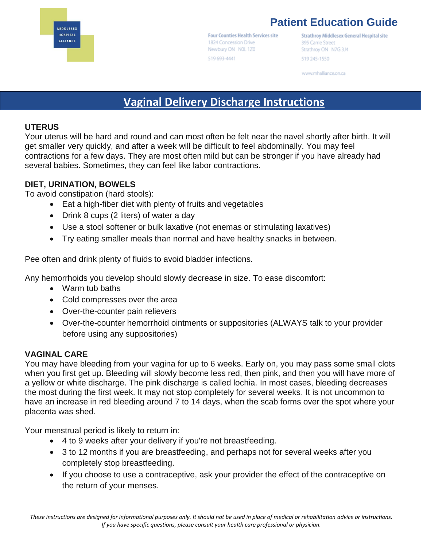

# **Patient Education Guide**

**Four Counties Health Services site** 1824 Concession Drive Newbury ON NOL 1Z0 519 693-4441

**Strathroy Middlesex General Hospital site** 395 Carrie Street Strathroy ON N7G 3J4 519 245-1550

www.mhalliance.on.ca

# **Vaginal Delivery Discharge Instructions**

#### **UTERUS**

Your uterus will be hard and round and can most often be felt near the navel shortly after birth. It will get smaller very quickly, and after a week will be difficult to feel abdominally. You may feel contractions for a few days. They are most often mild but can be stronger if you have already had several babies. Sometimes, they can feel like labor contractions.

#### **DIET, URINATION, BOWELS**

To avoid constipation (hard stools):

- Eat a high-fiber diet with plenty of fruits and vegetables
- Drink 8 cups (2 liters) of water a day
- Use a stool softener or bulk laxative (not enemas or stimulating laxatives)
- Try eating smaller meals than normal and have healthy snacks in between.

Pee often and drink plenty of fluids to avoid bladder infections.

Any hemorrhoids you develop should slowly decrease in size. To ease discomfort:

- Warm tub baths
- Cold compresses over the area
- Over-the-counter pain relievers
- Over-the-counter hemorrhoid ointments or suppositories (ALWAYS talk to your provider before using any suppositories)

#### **VAGINAL CARE**

You may have bleeding from your vagina for up to 6 weeks. Early on, you may pass some small clots when you first get up. Bleeding will slowly become less red, then pink, and then you will have more of a yellow or white discharge. The pink discharge is called lochia. In most cases, bleeding decreases the most during the first week. It may not stop completely for several weeks. It is not uncommon to have an increase in red bleeding around 7 to 14 days, when the scab forms over the spot where your placenta was shed.

Your menstrual period is likely to return in:

- 4 to 9 weeks after your delivery if you're not breastfeeding.
- 3 to 12 months if you are breastfeeding, and perhaps not for several weeks after you completely stop breastfeeding.
- If you choose to use a contraceptive, ask your provider the effect of the contraceptive on the return of your menses.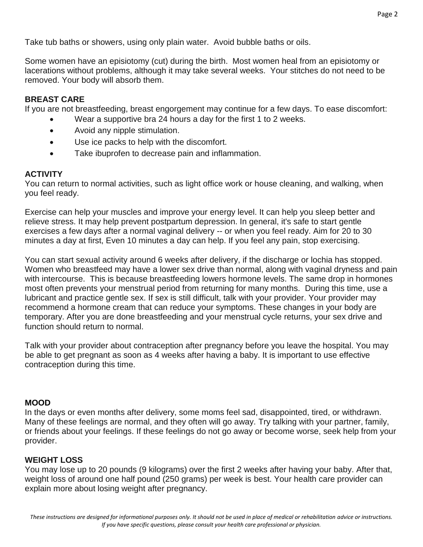Take tub baths or showers, using only plain water. Avoid bubble baths or oils.

Some women have an episiotomy (cut) during the birth. Most women heal from an episiotomy or lacerations without problems, although it may take several weeks. Your stitches do not need to be removed. Your body will absorb them.

### **BREAST CARE**

If you are not breastfeeding, breast engorgement may continue for a few days. To ease discomfort:

- Wear a supportive bra 24 hours a day for the first 1 to 2 weeks.
- Avoid any nipple stimulation.
- Use ice packs to help with the discomfort.
- Take ibuprofen to decrease pain and inflammation.

### **ACTIVITY**

You can return to normal activities, such as light office work or house cleaning, and walking, when you feel ready.

Exercise can help your muscles and improve your energy level. It can help you sleep better and relieve stress. It may help prevent postpartum depression. In general, it's safe to start gentle exercises a few days after a normal vaginal delivery -- or when you feel ready. Aim for 20 to 30 minutes a day at first, Even 10 minutes a day can help. If you feel any pain, stop exercising.

You can start sexual activity around 6 weeks after delivery, if the discharge or lochia has stopped. Women who breastfeed may have a lower sex drive than normal, along with vaginal dryness and pain with intercourse. This is because breastfeeding lowers hormone levels. The same drop in hormones most often prevents your menstrual period from returning for many months. During this time, use a lubricant and practice gentle sex. If sex is still difficult, talk with your provider. Your provider may recommend a hormone cream that can reduce your symptoms. These changes in your body are temporary. After you are done breastfeeding and your menstrual cycle returns, your sex drive and function should return to normal.

Talk with your provider about contraception after pregnancy before you leave the hospital. You may be able to get pregnant as soon as 4 weeks after having a baby. It is important to use effective contraception during this time.

#### **MOOD**

In the days or even months after delivery, some moms feel sad, disappointed, tired, or withdrawn. Many of these feelings are normal, and they often will go away. Try talking with your partner, family, or friends about your feelings. If these feelings do not go away or become worse, seek help from your provider.

## **WEIGHT LOSS**

You may lose up to 20 pounds (9 kilograms) over the first 2 weeks after having your baby. After that, weight loss of around one half pound (250 grams) per week is best. Your health care provider can explain more about losing weight after pregnancy.